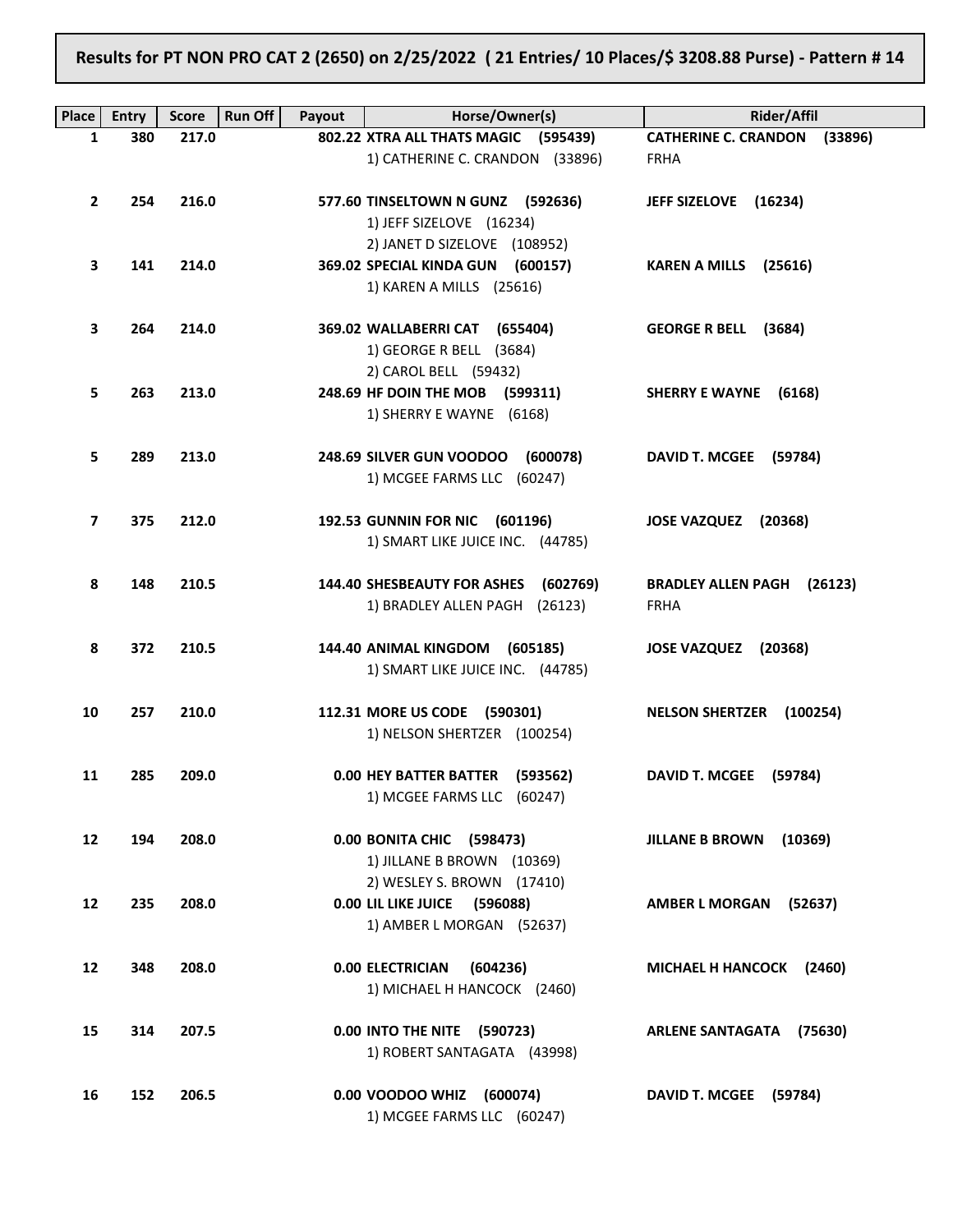## Results for PT NON PRO CAT 2 (2650) on 2/25/2022 ( 21 Entries/ 10 Places/\$ 3208.88 Purse) - Pattern # 14

| <b>Place</b>      | <b>Entry</b> | <b>Run Off</b><br><b>Score</b> | Payout | Horse/Owner(s)                                                                                | Rider/Affil                                         |
|-------------------|--------------|--------------------------------|--------|-----------------------------------------------------------------------------------------------|-----------------------------------------------------|
| 1                 | 380          | 217.0                          |        | 802.22 XTRA ALL THATS MAGIC (595439)                                                          | CATHERINE C. CRANDON (33896)                        |
|                   |              |                                |        | 1) CATHERINE C. CRANDON (33896)                                                               | <b>FRHA</b>                                         |
| $\mathbf{2}$      | 254          | 216.0                          |        | 577.60 TINSELTOWN N GUNZ (592636)<br>1) JEFF SIZELOVE (16234)                                 | JEFF SIZELOVE (16234)                               |
| 3                 | 141          | 214.0                          |        | 2) JANET D SIZELOVE (108952)<br>369.02 SPECIAL KINDA GUN (600157)<br>1) KAREN A MILLS (25616) | <b>KAREN A MILLS</b><br>(25616)                     |
| 3                 | 264          | 214.0                          |        | 369.02 WALLABERRI CAT (655404)<br>1) GEORGE R BELL (3684)                                     | GEORGE R BELL (3684)                                |
| 5.                | 263          | 213.0                          |        | 2) CAROL BELL (59432)<br>248.69 HF DOIN THE MOB (599311)<br>1) SHERRY E WAYNE (6168)          | SHERRY E WAYNE (6168)                               |
| 5                 | 289          | 213.0                          |        | 248.69 SILVER GUN VOODOO (600078)<br>1) MCGEE FARMS LLC (60247)                               | DAVID T. MCGEE (59784)                              |
| 7                 | 375          | 212.0                          |        | 192.53 GUNNIN FOR NIC (601196)<br>1) SMART LIKE JUICE INC. (44785)                            | JOSE VAZQUEZ (20368)                                |
| 8                 | 148          | 210.5                          |        | <b>144.40 SHESBEAUTY FOR ASHES</b><br>(602769)<br>1) BRADLEY ALLEN PAGH (26123)               | <b>BRADLEY ALLEN PAGH</b><br>(26123)<br><b>FRHA</b> |
| 8                 | 372          | 210.5                          |        | 144.40 ANIMAL KINGDOM (605185)<br>1) SMART LIKE JUICE INC. (44785)                            | JOSE VAZQUEZ (20368)                                |
| 10                | 257          | 210.0                          |        | 112.31 MORE US CODE (590301)<br>1) NELSON SHERTZER (100254)                                   | <b>NELSON SHERTZER</b><br>(100254)                  |
| 11                | 285          | 209.0                          |        | 0.00 HEY BATTER BATTER (593562)<br>1) MCGEE FARMS LLC (60247)                                 | DAVID T. MCGEE (59784)                              |
| $12 \overline{ }$ | 194          | 208.0                          |        | 0.00 BONITA CHIC (598473)<br>1) JILLANE B BROWN (10369)                                       | <b>JILLANE B BROWN</b><br>(10369)                   |
| 12                | 235          | 208.0                          |        | 2) WESLEY S. BROWN (17410)<br>0.00 LIL LIKE JUICE (596088)<br>1) AMBER L MORGAN (52637)       | AMBER L MORGAN (52637)                              |
| 12                | 348          | 208.0                          |        | 0.00 ELECTRICIAN<br>(604236)<br>1) MICHAEL H HANCOCK (2460)                                   | MICHAEL H HANCOCK (2460)                            |
| 15                | 314          | 207.5                          |        | 0.00 INTO THE NITE (590723)<br>1) ROBERT SANTAGATA (43998)                                    | ARLENE SANTAGATA (75630)                            |
| 16                | 152          | 206.5                          |        | 0.00 VOODOO WHIZ (600074)<br>1) MCGEE FARMS LLC (60247)                                       | DAVID T. MCGEE (59784)                              |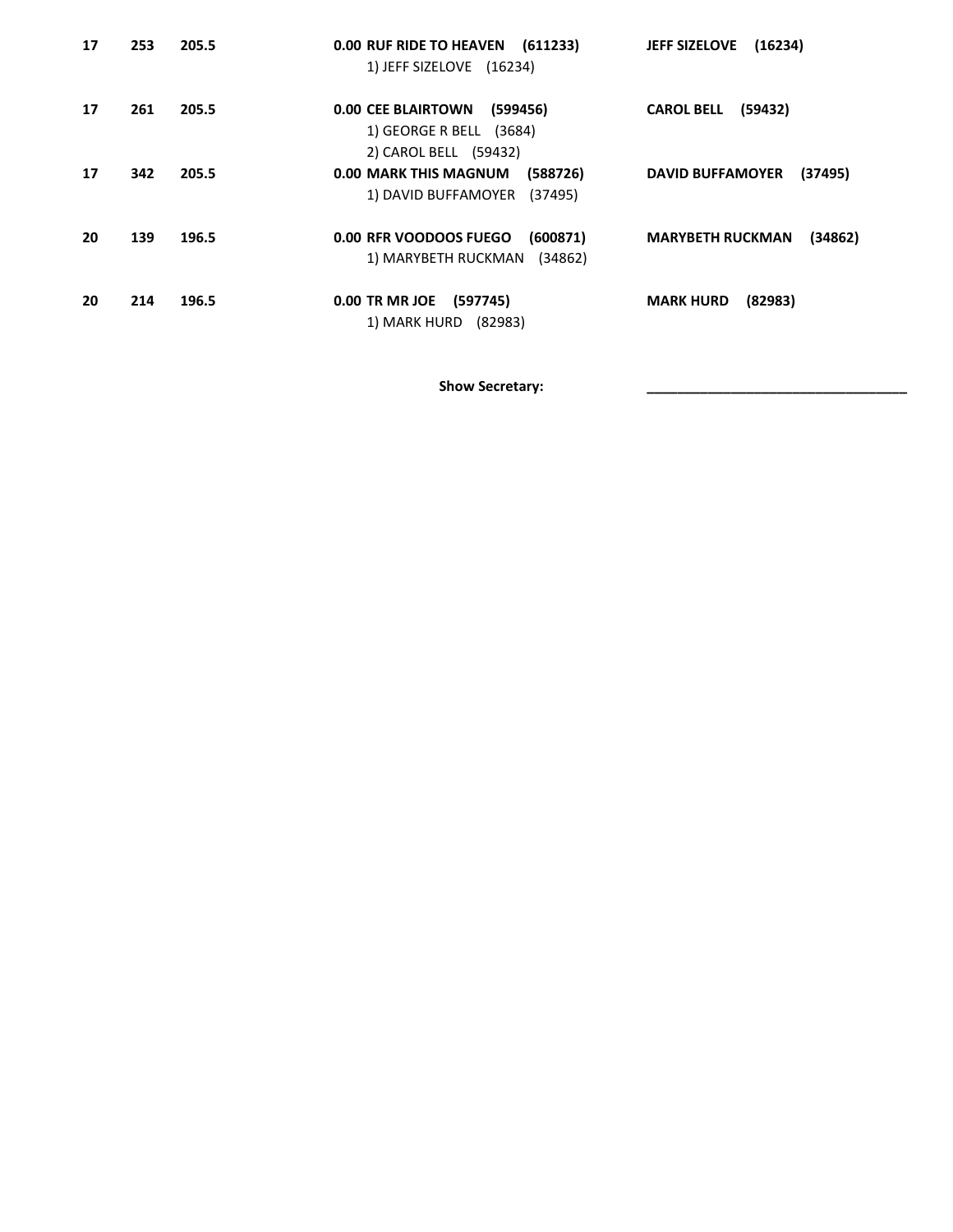| 17 | 253 | 205.5 | 0.00 RUF RIDE TO HEAVEN (611233)<br>1) JEFF SIZELOVE (16234)                              | (16234)<br><b>JEFF SIZELOVE</b>    |
|----|-----|-------|-------------------------------------------------------------------------------------------|------------------------------------|
| 17 | 261 | 205.5 | <b>0.00 CEE BLAIRTOWN</b><br>(599456)<br>1) GEORGE R BELL (3684)<br>2) CAROL BELL (59432) | <b>CAROL BELL</b><br>(59432)       |
| 17 | 342 | 205.5 | 0.00 MARK THIS MAGNUM<br>(588726)<br>1) DAVID BUFFAMOYER (37495)                          | (37495)<br><b>DAVID BUFFAMOYER</b> |
| 20 | 139 | 196.5 | 0.00 RFR VOODOOS FUEGO<br>(600871)<br>1) MARYBETH RUCKMAN<br>(34862)                      | <b>MARYBETH RUCKMAN</b><br>(34862) |
| 20 | 214 | 196.5 | 0.00 TR MR JOE<br>(597745)<br>1) MARK HURD (82983)                                        | (82983)<br><b>MARK HURD</b>        |

Show Secretary: